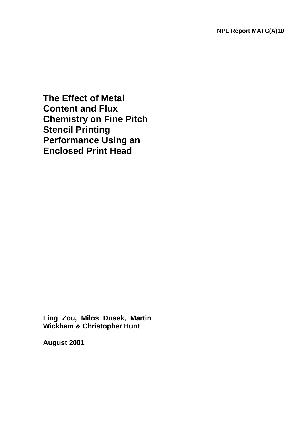**The Effect of Metal Content and Flux Chemistry on Fine Pitch Stencil Printing Performance Using an Enclosed Print Head**

**Ling Zou, Milos Dusek, Martin Wickham & Christopher Hunt** 

**August 2001**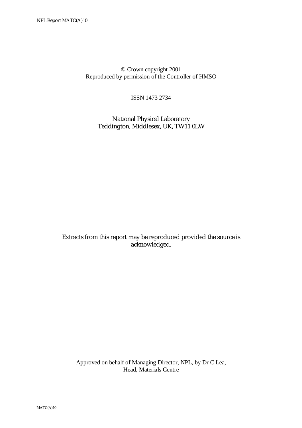© Crown copyright 2001 Reproduced by permission of the Controller of HMSO

ISSN 1473 2734

 National Physical Laboratory Teddington, Middlesex, UK, TW11 0LW

Extracts from this report may be reproduced provided the source is acknowledged.

 Approved on behalf of Managing Director, NPL, by Dr C Lea, Head, Materials Centre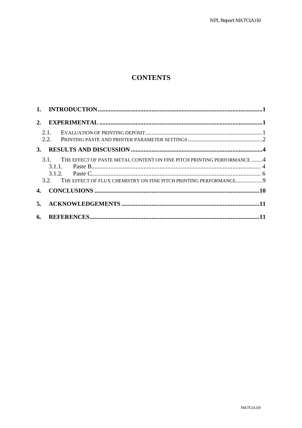# **CONTENTS**

| 2.        |              |                                                                                                                                                  |  |
|-----------|--------------|--------------------------------------------------------------------------------------------------------------------------------------------------|--|
|           | 2.1.<br>2.2. |                                                                                                                                                  |  |
| <b>3.</b> |              |                                                                                                                                                  |  |
|           | 3.1.         | THE EFFECT OF PASTE METAL CONTENT ON FINE PITCH PRINTING PERFORMANCE 4<br>3.2. THE EFFECT OF FLUX CHEMISTRY ON FINE PITCH PRINTING PERFORMANCE 9 |  |
|           |              |                                                                                                                                                  |  |
|           |              |                                                                                                                                                  |  |
| 6.        |              |                                                                                                                                                  |  |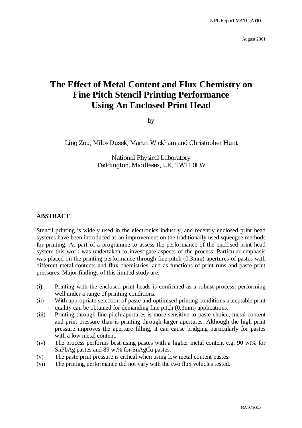August 2001

# **The Effect of Metal Content and Flux Chemistry on Fine Pitch Stencil Printing Performance Using An Enclosed Print Head**

by

Ling Zou, Milos Dusek, Martin Wickham and Christopher Hunt

National Physical Laboratory Teddington, Middlesex, UK, TW11 0LW

#### **ABSTRACT**

Stencil printing is widely used in the electronics industry, and recently enclosed print head systems have been introduced as an improvement on the traditionally used squeegee methods for printing. As part of a programme to assess the performance of the enclosed print head system this work was undertaken to investigate aspects of the process. Particular emphasis was placed on the printing performance through fine pitch (0.3mm) apertures of pastes with different metal contents and flux chemistries, and as functions of print runs and paste print pressures. Major findings of this limited study are:

- (i) Printing with the enclosed print heads is confirmed as a robust process, performing well under a range of printing conditions.
- (ii) With appropriate selection of paste and optimised printing conditions acceptable print quality can be obtained for demanding fine pitch (0.3mm) applications.
- (iii) Printing through fine pitch apertures is more sensitive to paste choice, metal content and print pressure than is printing through larger apertures. Although the high print pressure improves the aperture filling, it can cause bridging particularly for pastes with a low metal content.
- (iv) The process performs best using pastes with a higher metal content e.g. 90 wt% for SnPbAg pastes and 89 wt% for SnAgCu pastes.
- (v) The paste print pressure is critical when using low metal content pastes.
- (vi) The printing performance did not vary with the two flux vehicles tested.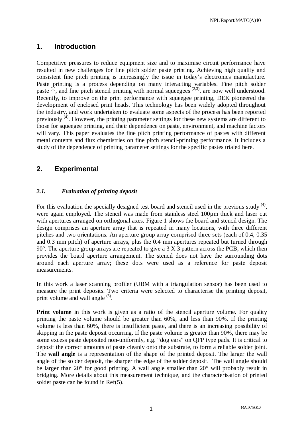# **1. Introduction**

Competitive pressures to reduce equipment size and to maximise circuit performance have resulted in new challenges for fine pitch solder paste printing. Achieving high quality and consistent fine pitch printing is increasingly the issue in today's electronics manufacture. Paste printing is a process depending on many interacting variables. Fine pitch solder paste  $(1)$ , and fine pitch stencil printing with normal squeegees  $(2,3)$ , are now well understood. Recently, to improve on the print performance with squeegee printing, DEK pioneered the development of enclosed print heads. This technology has been widely adopted throughout the industry, and work undertaken to evaluate some aspects of the process has been reported previously (4). However, the printing parameter settings for these new systems are different to those for squeegee printing, and their dependence on paste, environment, and machine factors will vary. This paper evaluates the fine pitch printing performance of pastes with different metal contents and flux chemistries on fine pitch stencil-printing performance. It includes a study of the dependence of printing parameter settings for the specific pastes trialed here.

# **2. Experimental**

#### *2.1. Evaluation of printing deposit*

For this evaluation the specially designed test board and stencil used in the previous study  $(4)$ , were again employed. The stencil was made from stainless steel 100 $\mu$ m thick and laser cut with apertures arranged on orthogonal axes. Figure 1 shows the board and stencil design. The design comprises an aperture array that is repeated in many locations, with three different pitches and two orientations. An aperture group array comprised three sets (each of 0.4, 0.35 and 0.3 mm pitch) of aperture arrays, plus the 0.4 mm apertures repeated but turned through  $90^\circ$ . The aperture group arrays are repeated to give a 3 X 3 pattern across the PCB, which then provides the board aperture arrangement. The stencil does not have the surrounding dots around each aperture array; these dots were used as a reference for paste deposit measurements.

In this work a laser scanning profiler (UBM with a triangulation sensor) has been used to measure the print deposits. Two criteria were selected to characterise the printing deposit, print volume and wall angle  $(5)$ .

**Print volume** in this work is given as a ratio of the stencil aperture volume. For quality printing the paste volume should be greater than 60%, and less than 90%. If the printing volume is less than 60%, there is insufficient paste, and there is an increasing possibility of skipping in the paste deposit occurring. If the paste volume is greater than 90%, there may be some excess paste deposited non-uniformly, e.g. "dog ears" on QFP type pads. It is critical to deposit the correct amounts of paste cleanly onto the substrate, to form a reliable solder joint. The **wall angle** is a representation of the shape of the printed deposit. The larger the wall angle of the solder deposit, the sharper the edge of the solder deposit. The wall angle should be larger than 20° for good printing. A wall angle smaller than 20° will probably result in bridging. More details about this measurement technique, and the characterisation of printed solder paste can be found in Ref(5).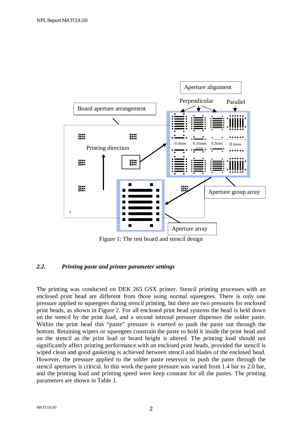

Figure 1: The test board and stencil design

#### *2.2. Printing paste and printer parameter settings*

The printing was conducted on DEK 265 GSX printer. Stencil printing processes with an enclosed print head are different from those using normal squeegees. There is only one pressure applied to squeegees during stencil printing, but there are two pressures for enclosed print heads, as shown in Figure 2. For all enclosed print head systems the head is held down on the stencil by the print load, and a second internal pressure dispenses the solder paste. Within the print head this "paste" pressure is exerted to push the paste out through the bottom. Retaining wipers or squeegees constrain the paste to hold it inside the print head and on the stencil as the print load or board height is altered. The printing load should not significantly affect printing performance with an enclosed print heads, provided the stencil is wiped clean and good gasketing is achieved between stencil and blades of the enclosed head. However, the pressure applied to the solder paste reservoir to push the paste through the stencil apertures is critical. In this work the paste pressure was varied from 1.4 bar to 2.0 bar, and the printing load and printing speed were keep constant for all the pastes. The printing parameters are shown in Table 1.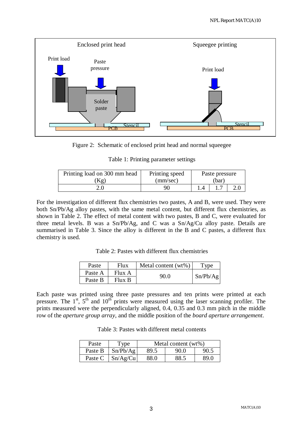



|  |  |  | Table 1: Printing parameter settings |  |
|--|--|--|--------------------------------------|--|
|--|--|--|--------------------------------------|--|

| Printing load on 300 mm head | Printing speed<br>Paste pressure |      |  |  |
|------------------------------|----------------------------------|------|--|--|
| Kg)                          | (mm/sec)                         | (bar |  |  |
|                              | 90                               |      |  |  |

For the investigation of different flux chemistries two pastes, A and B, were used. They were both Sn/Pb/Ag alloy pastes, with the same metal content, but different flux chemistries, as shown in Table 2. The effect of metal content with two pastes, B and C, were evaluated for three metal levels. B was a Sn/Pb/Ag, and C was a Sn/Ag/Cu alloy paste. Details are summarised in Table 3. Since the alloy is different in the B and C pastes, a different flux chemistry is used.

Table 2: Pastes with different flux chemistries

| Paste   | Flux   | Metal content $(wt\%)$ | Type     |  |
|---------|--------|------------------------|----------|--|
| Paste A | Flux A | 90.0                   | Sn/Pb/Ag |  |
| Paste B | Flux B |                        |          |  |

Each paste was printed using three paste pressures and ten prints were printed at each pressure. The  $1<sup>st</sup>$ ,  $5<sup>th</sup>$  and  $10<sup>th</sup>$  prints were measured using the laser scanning profiler. The prints measured were the perpendicularly aligned, 0.4, 0.35 and 0.3 mm pitch in the middle row of the *aperture group array*, and the middle position of the *board aperture arrangement*.

Table 3: Pastes with different metal contents

| Paste   | Type     | Metal content (wt%) |      |      |
|---------|----------|---------------------|------|------|
| Paste B | Sn/Pb/Ag | 89.5                | 90.0 | 90.5 |
| Paste C | Sn/Ag/Cu | 88.0                | 88.5 | 89.0 |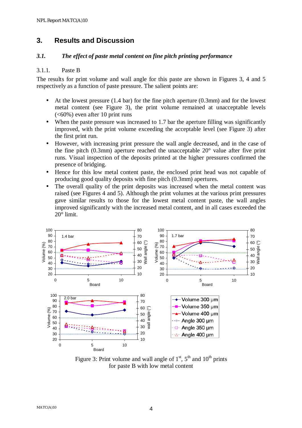# **3. Results and Discussion**

#### *3.1. The effect of paste metal content on fine pitch printing performance*

#### 3.1.1. Paste B

The results for print volume and wall angle for this paste are shown in Figures 3, 4 and 5 respectively as a function of paste pressure. The salient points are:

- At the lowest pressure (1.4 bar) for the fine pitch aperture (0.3mm) and for the lowest metal content (see Figure 3), the print volume remained at unacceptable levels (<60%) even after 10 print runs
- When the paste pressure was increased to 1.7 bar the aperture filling was significantly improved, with the print volume exceeding the acceptable level (see Figure 3) after the first print run.
- However, with increasing print pressure the wall angle decreased, and in the case of the fine pitch  $(0.3$ mm) aperture reached the unacceptable  $20^{\circ}$  value after five print runs. Visual inspection of the deposits printed at the higher pressures confirmed the presence of bridging.
- Hence for this low metal content paste, the enclosed print head was not capable of producing good quality deposits with fine pitch (0.3mm) apertures.
- The overall quality of the print deposits was increased when the metal content was raised (see Figures 4 and 5). Although the print volumes at the various print pressures gave similar results to those for the lowest metal content paste, the wall angles improved significantly with the increased metal content, and in all cases exceeded the 20° limit.



Figure 3: Print volume and wall angle of  $1<sup>st</sup>$ ,  $5<sup>th</sup>$  and  $10<sup>th</sup>$  prints for paste B with low metal content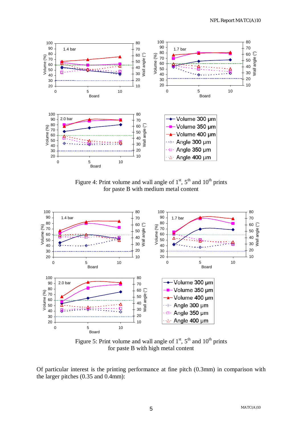

Figure 4: Print volume and wall angle of  $1<sup>st</sup>$ ,  $5<sup>th</sup>$  and  $10<sup>th</sup>$  prints for paste B with medium metal content



Figure 5: Print volume and wall angle of  $1<sup>st</sup>$ ,  $5<sup>th</sup>$  and  $10<sup>th</sup>$  prints for paste B with high metal content

Of particular interest is the printing performance at fine pitch (0.3mm) in comparison with the larger pitches (0.35 and 0.4mm):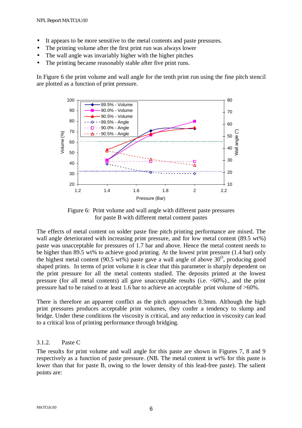- It appears to be more sensitive to the metal contents and paste pressures.
- The printing volume after the first print run was always lower
- The wall angle was invariably higher with the higher pitches
- The printing became reasonably stable after five print runs.

In Figure 6 the print volume and wall angle for the tenth print run using the fine pitch stencil are plotted as a function of print pressure.



Figure 6: Print volume and wall angle with different paste pressures for paste B with different metal content pastes

The effects of metal content on solder paste fine pitch printing performance are mixed. The wall angle deteriorated with increasing print pressure, and for low metal content (89.5 wt%) paste was unacceptable for pressures of 1.7 bar and above. Hence the metal content needs to be higher than 89.5 wt% to achieve good printing. At the lowest print pressure (1.4 bar) only the highest metal content (90.5 wt%) paste gave a wall angle of above  $30^{\circ}$ , producing good shaped prints. In terms of print volume it is clear that this parameter is sharply dependent on the print pressure for all the metal contents studied. The deposits printed at the lowest pressure (for all metal contents) all gave unacceptable results (i.e.  $\langle 60\% \rangle$ ), and the print pressure had to be raised to at least 1.6 bar to achieve an acceptable print volume of >60%.

There is therefore an apparent conflict as the pitch approaches 0.3mm. Although the high print pressures produces acceptable print volumes, they confer a tendency to slump and bridge. Under these conditions the viscosity is critical, and any reduction in viscosity can lead to a critical loss of printing performance through bridging.

#### 3.1.2. Paste C

The results for print volume and wall angle for this paste are shown in Figures 7, 8 and 9 respectively as a function of paste pressure. (NB. The metal content in wt% for this paste is lower than that for paste B, owing to the lower density of this lead-free paste). The salient points are: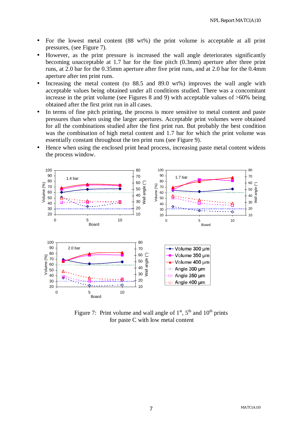- For the lowest metal content (88 wt%) the print volume is acceptable at all print pressures, (see Figure 7).
- However, as the print pressure is increased the wall angle deteriorates significantly becoming unacceptable at 1.7 bar for the fine pitch (0.3mm) aperture after three print runs, at 2.0 bar for the 0.35mm aperture after five print runs, and at 2.0 bar for the 0.4mm aperture after ten print runs.
- Increasing the metal content (to  $88.5$  and  $89.0$  wt%) improves the wall angle with acceptable values being obtained under all conditions studied. There was a concomitant increase in the print volume (see Figures 8 and 9) with acceptable values of >60% being obtained after the first print run in all cases.
- In terms of fine pitch printing, the process is more sensitive to metal content and paste pressures than when using the larger apertures. Acceptable print volumes were obtained for all the combinations studied after the first print run. But probably the best condition was the combination of high metal content and 1.7 bar for which the print volume was essentially constant throughout the ten print runs (see Figure 9).
- Hence when using the enclosed print head process, increasing paste metal content widens the process window.



Figure 7: Print volume and wall angle of  $1<sup>st</sup>$ ,  $5<sup>th</sup>$  and  $10<sup>th</sup>$  prints for paste C with low metal content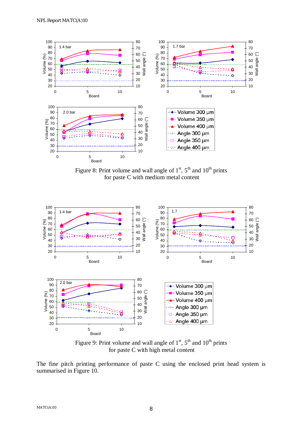

Figure 8: Print volume and wall angle of  $1<sup>st</sup>$ ,  $5<sup>th</sup>$  and  $10<sup>th</sup>$  prints for paste C with medium metal content



Figure 9: Print volume and wall angle of  $1<sup>st</sup>$ ,  $5<sup>th</sup>$  and  $10<sup>th</sup>$  prints for paste C with high metal content

The fine pitch printing performance of paste C using the enclosed print head system is summarised in Figure 10.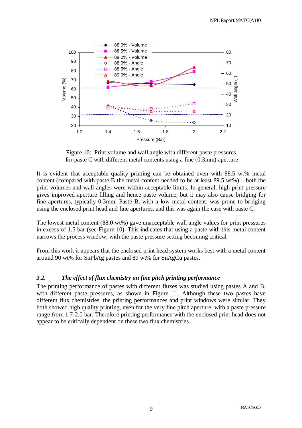

Figure 10: Print volume and wall angle with different paste pressures for paste C with different metal contents using a fine (0.3mm) aperture

It is evident that acceptable quality printing can be obtained even with 88.5 wt% metal content (compared with paste B the metal content needed to be at least 89.5 wt%) – both the print volumes and wall angles were within acceptable limits. In general, high print pressure gives improved aperture filling and hence paste volume, but it may also cause bridging for fine apertures, typically 0.3mm. Paste B, with a low metal content, was prone to bridging using the enclosed print head and fine apertures, and this was again the case with paste C.

The lowest metal content (88.0 wt%) gave unacceptable wall angle values for print pressures in excess of 1.5 bar (see Figure 10). This indicates that using a paste with this metal content narrows the process window, with the paste pressure setting becoming critical.

From this work it appears that the enclosed print head system works best with a metal content around 90 wt% for SnPbAg pastes and 89 wt% for SnAgCu pastes.

#### *3.2. The effect of flux chemistry on fine pitch printing performance*

The printing performance of pastes with different fluxes was studied using pastes A and B, with different paste pressures, as shown in Figure 11. Although these two pastes have different flux chemistries, the printing performances and print windows were similar. They both showed high quality printing, even for the very fine pitch aperture, with a paste pressure range from 1.7-2.0 bar. Therefore printing performance with the enclosed print head does not appear to be critically dependent on these two flux chemistries.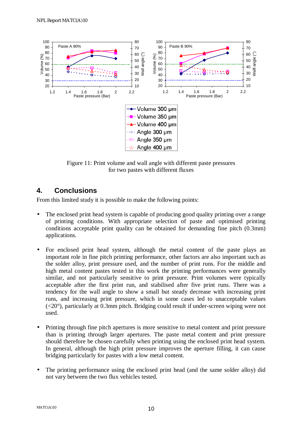

Figure 11: Print volume and wall angle with different paste pressures for two pastes with different fluxes

### **4. Conclusions**

From this limited study it is possible to make the following points:

- The enclosed print head system is capable of producing good quality printing over a range of printing conditions. With appropriate selection of paste and optimised printing conditions acceptable print quality can be obtained for demanding fine pitch (0.3mm) applications.
- For enclosed print head system, although the metal content of the paste plays an important role in fine pitch printing performance, other factors are also important such as the solder alloy, print pressure used, and the number of print runs. For the middle and high metal content pastes tested in this work the printing performances were generally similar, and not particularly sensitive to print pressure. Print volumes were typically acceptable after the first print run, and stabilised after five print runs. There was a tendency for the wall angle to show a small but steady decrease with increasing print runs, and increasing print pressure, which in some cases led to unacceptable values (<20°), particularly at 0.3mm pitch. Bridging could result if under-screen wiping were not used.
- Printing through fine pitch apertures is more sensitive to metal content and print pressure than is printing through larger apertures. The paste metal content and print pressure should therefore be chosen carefully when printing using the enclosed print head system. In general, although the high print pressure improves the aperture filling, it can cause bridging particularly for pastes with a low metal content.
- The printing performance using the enclosed print head (and the same solder alloy) did not vary between the two flux vehicles tested.